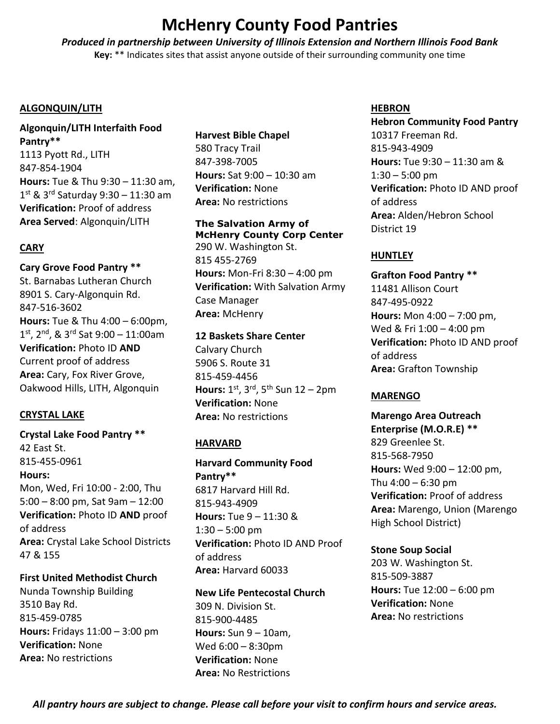# **McHenry County Food Pantries**

*Produced in partnership between University of Illinois Extension and Northern Illinois Food Bank*  **Key:** \*\* Indicates sites that assist anyone outside of their surrounding community one time

## **ALGONQUIN/LITH**

**Algonquin/LITH Interfaith Food Pantry\*\*** 1113 Pyott Rd., LITH 847-854-1904 **Hours:** Tue & Thu 9:30 – 11:30 am, 1st & 3<sup>rd</sup> Saturday 9:30 – 11:30 am **Verification:** Proof of address **Area Served**: Algonquin/LITH

# **CARY**

**Cary Grove Food Pantry \*\*** St. Barnabas Lutheran Church 8901 S. Cary-Algonquin Rd. 847-516-3602 **Hours:** Tue & Thu 4:00 – 6:00pm, 1 st, 2nd, & 3rd Sat 9:00 – 11:00am **Verification:** Photo ID **AND** Current proof of address **Area:** Cary, Fox River Grove, Oakwood Hills, LITH, Algonquin

## **CRYSTAL LAKE**

**Crystal Lake Food Pantry \*\*** 42 East St. 815-455-0961 **Hours:** Mon, Wed, Fri 10:00 - 2:00, Thu 5:00 – 8:00 pm, Sat 9am – 12:00 **Verification:** Photo ID **AND** proof of address **Area:** Crystal Lake School Districts 47 & 155

**First United Methodist Church**  Nunda Township Building 3510 Bay Rd. 815-459-0785 **Hours:** Fridays 11:00 – 3:00 pm **Verification:** None **Area:** No restrictions

## **Harvest Bible Chapel**

580 Tracy Trail 847-398-7005 **Hours:** Sat 9:00 – 10:30 am **Verification:** None **Area:** No restrictions

## **The Salvation Army of McHenry County Corp Center**

290 W. Washington St. 815 455-2769 **Hours:** Mon-Fri 8:30 – 4:00 pm **Verification:** With Salvation Army Case Manager **Area:** McHenry

## **12 Baskets Share Center**

Calvary Church 5906 S. Route 31 815-459-4456 **Hours:** 1<sup>st</sup>, 3<sup>rd</sup>, 5<sup>th</sup> Sun 12 – 2pm **Verification:** None **Area:** No restrictions

# **HARVARD**

**Harvard Community Food Pantry\*\*** 6817 Harvard Hill Rd. 815-943-4909 **Hours:** Tue 9 – 11:30 &  $1:30 - 5:00$  pm **Verification:** Photo ID AND Proof of address **Area:** Harvard 60033

## **New Life Pentecostal Church**

309 N. Division St. 815-900-4485 **Hours:** Sun 9 – 10am, Wed 6:00 – 8:30pm **Verification:** None **Area:** No Restrictions

## **HEBRON**

**Hebron Community Food Pantry**  10317 Freeman Rd. 815-943-4909 **Hours:** Tue 9:30 – 11:30 am &  $1:30 - 5:00$  pm **Verification:** Photo ID AND proof of address **Area:** Alden/Hebron School District 19

# **HUNTLEY**

**Grafton Food Pantry \*\*** 11481 Allison Court 847-495-0922 **Hours:** Mon 4:00 – 7:00 pm, Wed & Fri 1:00 – 4:00 pm **Verification:** Photo ID AND proof of address **Area:** Grafton Township

## **MARENGO**

**Marengo Area Outreach Enterprise (M.O.R.E) \*\*** 829 Greenlee St. 815-568-7950 **Hours:** Wed 9:00 – 12:00 pm, Thu  $4:00 - 6:30$  pm **Verification:** Proof of address **Area:** Marengo, Union (Marengo High School District)

**Stone Soup Social**  203 W. Washington St. 815-509-3887 **Hours:** Tue 12:00 – 6:00 pm **Verification:** None **Area:** No restrictions

*All pantry hours are subject to change. Please call before your visit to confirm hours and service areas.*